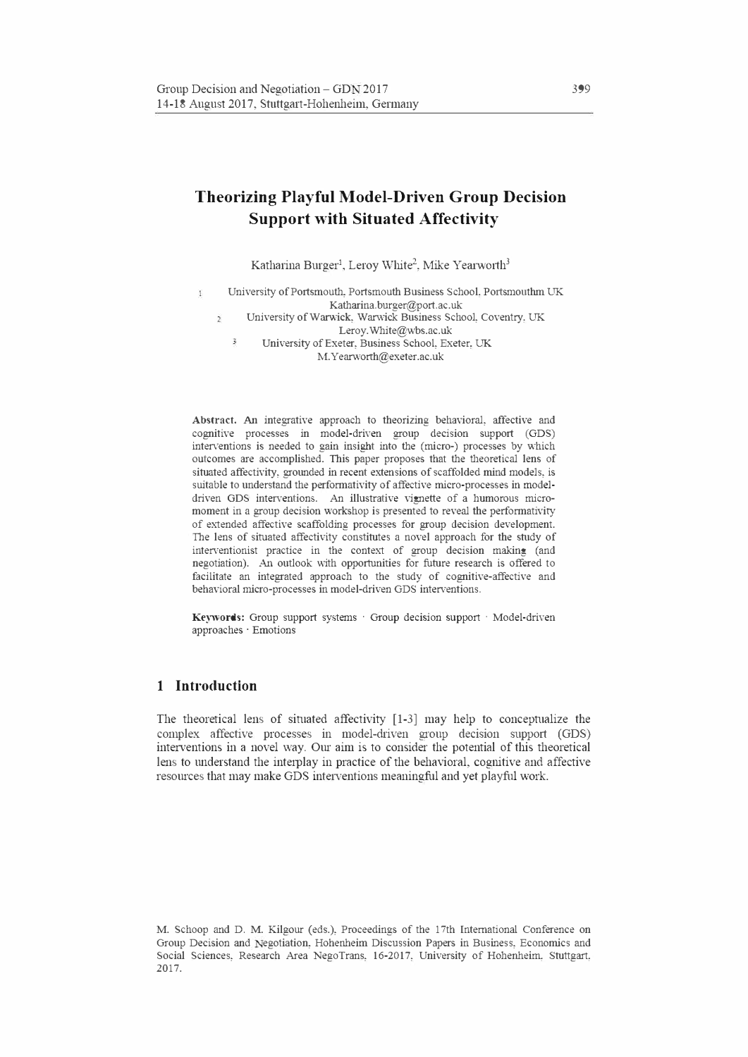# **Theorizing Playful Model-Driven Group Decision Support with Situated Affectivity**

Katharina Burger<sup>1</sup>, Leroy White<sup>2</sup>, Mike Yearworth<sup>3</sup>

 $\mathbbm{1}$ University of Portsmouth, Portsmouth Business School, Portsmouthm UK Katharina. burger@port.ac. uk University of Warwick, Warwick Business School, Coventry, UK  $\overline{2}$ Leroy. White@wbs.ac. uk 3 University of Exeter, Business School, Exeter, UK

M.Yearworth@exeter.ac.uk

Abstract. An integrative approach to theorizing behavioral, affective and cognitive processes in model-driven group decision support (GDS) inter<sup>v</sup>entions is needed to gain insight into the (micro-) processes by which outcomes are accomplished. This paper proposes that the theoretical lens of situated affectivity, grounded in recent extensions of scaffolded mind models, is suitable to understand the performativity of affective micro-processes in modeldriven GDS interventions. An illustrative vignette of a humorous micromoment in a group decision workshop is presented to reveal the performativity of extended affective scaffolding processes for group decision development. The lens of situated affectivity constitutes a novel approach for the study of interventionist practice in the context of group decision making (and negotiation). An outlook with opportunities for future research is offered to facilitate an integrated approach to the study of cognitive-affective and behavioral micro-processes in model-driven GDS interventions.

Keywords: Group support systems · Group decision support · Model-driven approaches · Emotions

# **1 Introduction**

The theoretical lens of sihiated affectivity [1-3] may help to conceptualize the complex affective processes in model-driven group decision support (GDS) interventions in a novel way. Our aim is to consider the potential of this theoretical lens to understand the interplay in practice of the behavioral, cognitive and affective resources that may make GDS interventions meaningful and yet playful work.

M. Schoop and D. M. Kilgour (eds.), Proceedings of the 17th International Conference on Group Decision and Negotiation, Hohenheim Discussion Papers in Business, Economics and Social Sciences, Research Area NegoTrans, 16-2017, University of Hohenheim, Stuttgart, 2017.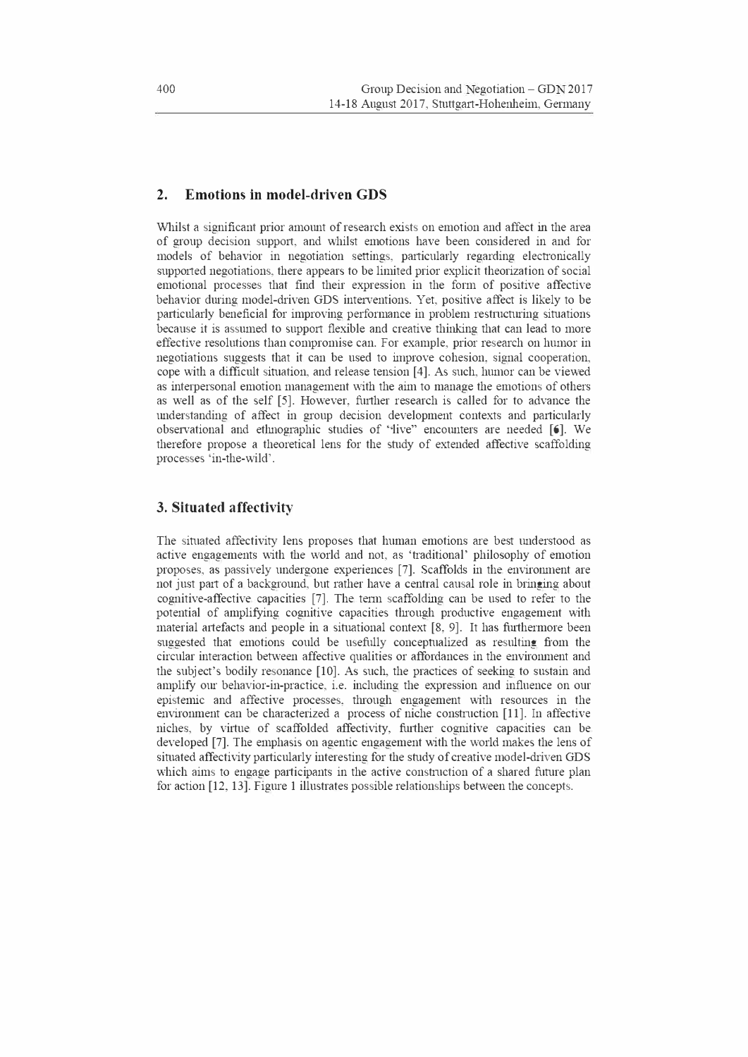## **2. Emotions in model-driven GDS**

Whilst a significant prior amount of research exists on emotion and affect in the area of group decision support, and whilst emotions have been considered in and for models of behavior in negotiation settings, particularly regarding electronically supported negotiations, there appears to be limited prior explicit theorization of social emotional processes that find their expression in the form of positive affective behavior during model-driven GDS interventions. Yet, positive affect is likely to be particularly beneficial for improving performance in problem restructuring situations because it is assumed to support flexible and creative thinking that can lead to more effective resolutions than compromise can. For example, prior research on humor in negotiations suggests that it can be used to improve cohesion, signal cooperation, cope with a difficult situation, and release tension [ 4]. As such, humor can be viewed as interpersonal emotion management with the aim to manage the emotions of others as well as of the self [5]. However, further research is called for to advance the 1mderstanding of affect in group decision development contexts and particularly observational and ethnographic studies of "live" encounters are needed [6]. We therefore propose a theoretical lens for the study of extended affective scaffolding processes 'in-the-wild'.

#### **3. Situated affectivity**

The situated affectivity lens proposes that human emotions are best understood as active engagements with the world and not, as 'traditional' philosophy of emotion proposes, as passively undergone experiences [7]. Scaffolds in the environment are not just part of a background, but rather have a central causal role in bringing about cognitive-affective capacities [7]. The term scaffolding can be used to refer to the potential of amplifying cognitive capacities through productive engagement with material artefacts and people in a situational context [8, 9]. It has furthermore been suggested that emotions could be usefully conceptualized as resulting from the circular interaction between affective qualities or affordances in the environment and the subject's bodily resonance [10]. As such, the practices of seeking to sustain and amplify our behavior-in-practice, i.e. including the expression and influence on our epistemic and affective processes, through engagement with resources in the environment can be characterized a process of niche construction [11]. In affective niches, by virtue of scaffolded affectivity, further cognitive capacities can be developed [7]. The emphasis on agentic engagement with the world makes the lens of situated affectivity particularly interesting for the study of creative model-driven GDS which aims to engage participants in the active construction of a shared future plan for action [12, 13]. Figure 1 illustrates possible relationships between the concepts.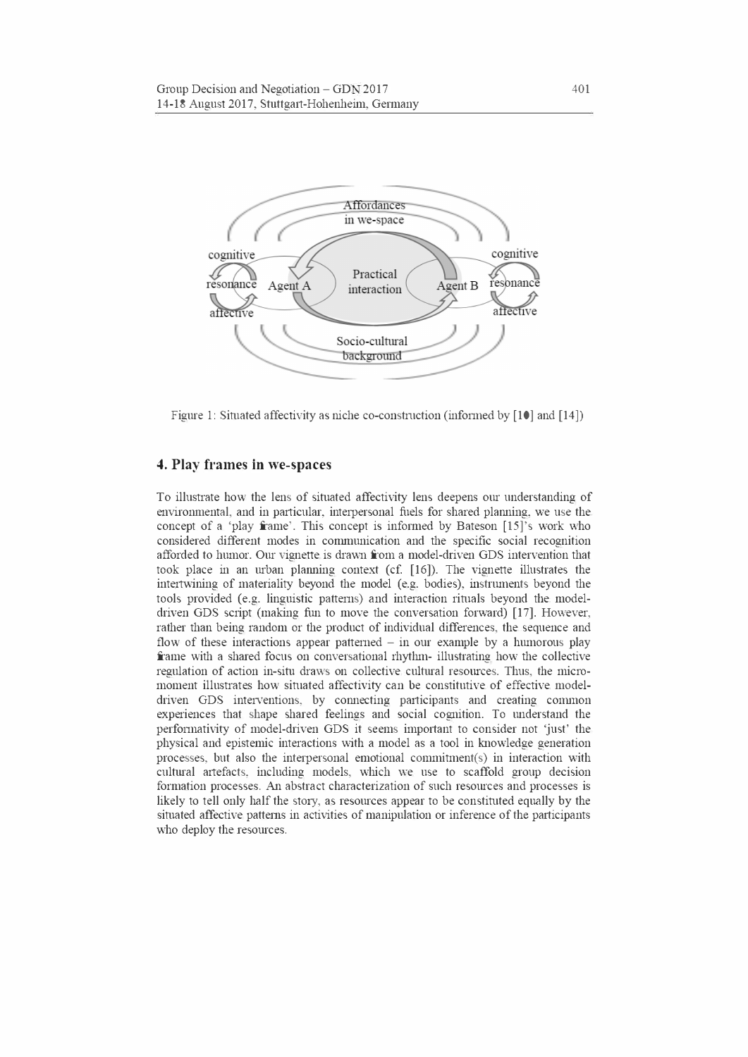

Figure 1: Situated affectivity as niche co-construction (informed by [10] and [14])

#### **4. Play frames in we-spaces**

To illustrnte how the lens of sihiated affectivity lens deepens our understanding of environmental, and in particular, interpersonal fuels for shared planning, we use the concept of a 'play frame'. This concept is informed by Bateson [15]'s work who considered different modes in communication and the specific social recognition afforded to humor. Our vignette is drawn from a model-driven GDS intervention that took place in an urban planning context (cf. [16]). The vignette illustrates the intertwining of materiality beyond the model (e.g. bodies), instruments beyond the tools provided (e.g. linguistic patterns) and interaction rituals beyond the modeldriven GDS script (making fun to move the conversation forward) [17]. However, rather than being random or the product of individual differences, the sequence and flow of these interactions appear patterned  $-$  in our example by a humorous play frame with a shared focus on conversational rhythm- illustrating how the collective regulation of action in-situ draws on collective cultural resources. Thus, the micromoment illustrates how situated affectivity can be constitutive of effective modeldriven GDS interventions, by connecting participants and creating common experiences that shape shared feelings and social cognition. To understand the performativity of model-driven GDS it seems important to consider not 'just' the physical and epistemic interactions \.\rith a model as a tool in knowledge generation processes, but also the interpersonal emotional commitment(s) in interaction with cultural aitefacts, including models, which we use to scaffold group decision formation processes. An abstract characterization of such resources and processes is likely to tell only half the story, as resources appear to be constituted equally by the situated affective patterns in activities of manipulation or inference of the participants who deploy the resources.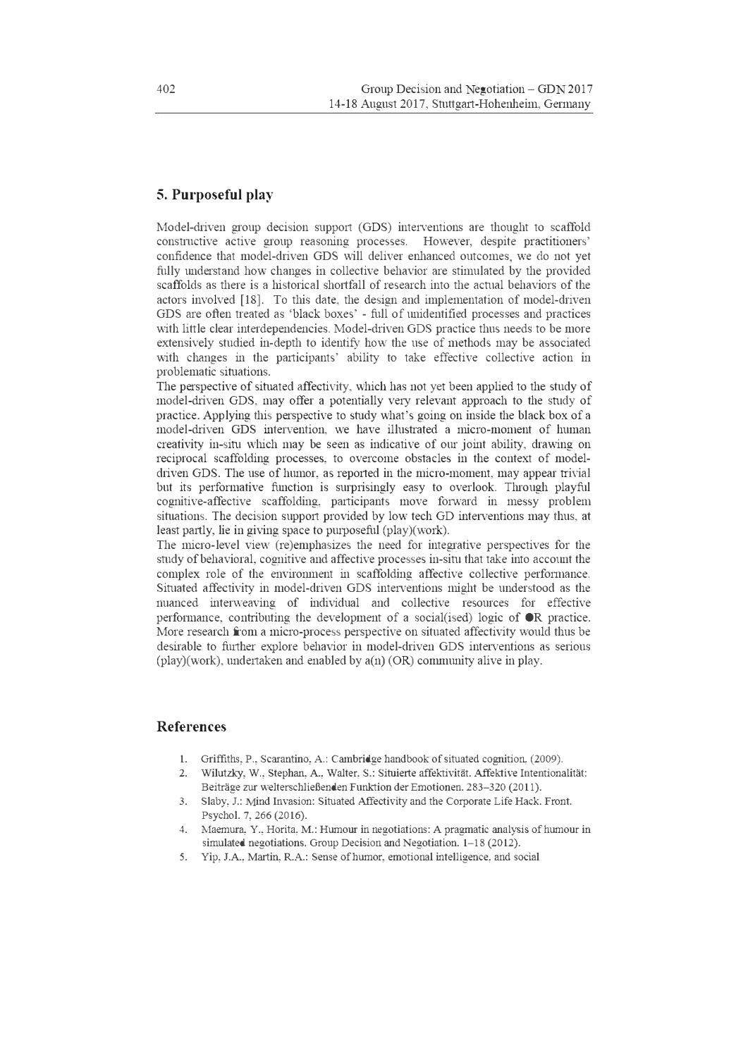## **5. Purposeful play**

Model-driven group decision support (GDS) interventions are thought to scaffold constmctive active group reasoning processes. However, despite practitioners' confidence that model-driven GDS will deliver enhanced outcomes, we do not yet fhlly understand how changes in collective behavior are stimulated by the provided scaffolds as there is a historical shortfall of research into the actual behaviors of the actors involved [18]. To this date, the design and implementation of model-driven GDS are often treated as 'black boxes' - foll of unidentified processes and practices with little clear interdependencies. Model-driven GDS practice thus needs to be more extensively studied in-depth to identify how the use of methods may be associated with changes in the participants' ability to take effective collective action in problematic situations.

The perspective of situated affectivity, which has not yet been applied to the study of model-driven GDS, may offer a potentially very relevant approach to the study of practice. Applying this perspective to study what's going on inside the black box of a model-driven GDS intervention, we have illustrated a micro-moment of human creativity in-situ which may be seen as indicative of our joint ability, drawing on reciprocal scaffolding processes, to overcome obstacles in the context of modeldriven GDS. The use of humor, as reported in the micro-moment, may appear trivial but its perfonnative function is surprisingly easy to overlook. Through playful cognitive-affective scaffolding, participants move forward in messy problem situations. The decision support provided by low tech GD interventions may thus, at least partly, lie in giving space to purposeful (play)(work).

The micro-level view (re)emphasizes the need for integrative perspectives for the study of behavioral, cognitive and affective processes in-situ that take into account the complex role of the enviromnent in scaffolding affective collective performance. Situated affectivity in model-driven GDS interventions might be understood as the nuanced interweaving of individual and collective resources for effective performance, contributing the development of a social(ised) logic of  $\bullet \mathbb{R}$  practice. More research from a micro-process perspective on situated affectivity would thus be desirable to further explore behavior in model-driven GDS interventions as serious (play)(work), undertaken and enabled by a(n) (OR) community alive in play.

## **References**

- 1. Griffiths, P., Scarantino, A.: Cambridge handbook of situated cognition, (2009).
- 2. Wilutzky, W., Stephan, A., Walter, S.: Situierte affektivitat. Affektive Intentionalitat: Beiträge zur welterschließenden Funktion der Emotionen. 283-320 (2011).
- 3. Slaby, J.: Mind Invasion: Situated Affectivity and the Corporate Life Hack. Front. Psycho!. 7,266 (2016).
- 4. Maemura, Y., Horita, M.: Humour in negotiations: A pragmatic analysis of humour in simulated negotiations. Group Decision and Negotiation. 1-18 (2012).
- 5. Yip, J.A., Martin, R.A.: Sense of humor, emotional intelligence, and social